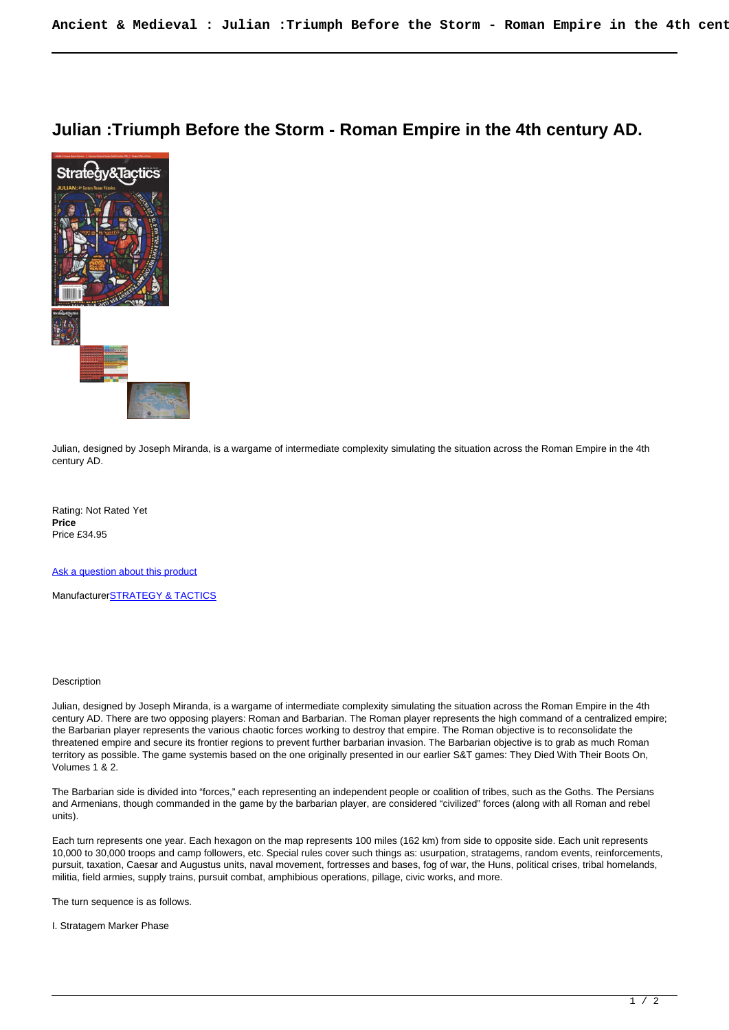## **Julian :Triumph Before the Storm - Roman Empire in the 4th century AD.**



Julian, designed by Joseph Miranda, is a wargame of intermediate complexity simulating the situation across the Roman Empire in the 4th century AD.

Rating: Not Rated Yet **Price**  Price £34.95

[Ask a question about this product](https://www.secondchancegames.com/index.php?option=com_virtuemart&view=productdetails&task=askquestion&virtuemart_product_id=1860&virtuemart_category_id=8&tmpl=component)

Manufacturer[STRATEGY & TACTICS](https://www.secondchancegames.com/index.php?option=com_virtuemart&view=manufacturer&virtuemart_manufacturer_id=2619&tmpl=component)

## **Description**

Julian, designed by Joseph Miranda, is a wargame of intermediate complexity simulating the situation across the Roman Empire in the 4th century AD. There are two opposing players: Roman and Barbarian. The Roman player represents the high command of a centralized empire; the Barbarian player represents the various chaotic forces working to destroy that empire. The Roman objective is to reconsolidate the threatened empire and secure its frontier regions to prevent further barbarian invasion. The Barbarian objective is to grab as much Roman territory as possible. The game systemis based on the one originally presented in our earlier S&T games: They Died With Their Boots On, Volumes 1 & 2.

The Barbarian side is divided into "forces," each representing an independent people or coalition of tribes, such as the Goths. The Persians and Armenians, though commanded in the game by the barbarian player, are considered "civilized" forces (along with all Roman and rebel units).

Each turn represents one year. Each hexagon on the map represents 100 miles (162 km) from side to opposite side. Each unit represents 10,000 to 30,000 troops and camp followers, etc. Special rules cover such things as: usurpation, stratagems, random events, reinforcements, pursuit, taxation, Caesar and Augustus units, naval movement, fortresses and bases, fog of war, the Huns, political crises, tribal homelands, militia, field armies, supply trains, pursuit combat, amphibious operations, pillage, civic works, and more.

The turn sequence is as follows.

I. Stratagem Marker Phase